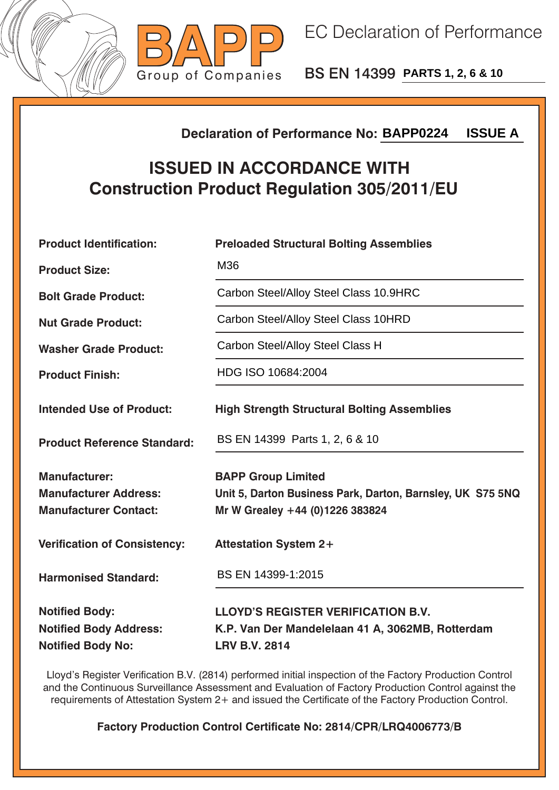



BS EN 14399 **PARTS 1, 2, 6 & 10**

## **Declaration of Performance No:**

## **ISSUED IN ACCORDANCE WITH Construction Product Regulation 305/2011/EU**

| <b>ISSUE A</b><br><b>Declaration of Performance No: BAPP0224</b>                       |                                                                                                                            |  |  |
|----------------------------------------------------------------------------------------|----------------------------------------------------------------------------------------------------------------------------|--|--|
| <b>ISSUED IN ACCORDANCE WITH</b><br><b>Construction Product Regulation 305/2011/EU</b> |                                                                                                                            |  |  |
| <b>Product Identification:</b>                                                         | <b>Preloaded Structural Bolting Assemblies</b>                                                                             |  |  |
| <b>Product Size:</b>                                                                   | M36                                                                                                                        |  |  |
| <b>Bolt Grade Product:</b>                                                             | Carbon Steel/Alloy Steel Class 10.9HRC                                                                                     |  |  |
| <b>Nut Grade Product:</b>                                                              | Carbon Steel/Alloy Steel Class 10HRD                                                                                       |  |  |
| <b>Washer Grade Product:</b>                                                           | Carbon Steel/Alloy Steel Class H                                                                                           |  |  |
| <b>Product Finish:</b>                                                                 | HDG ISO 10684:2004                                                                                                         |  |  |
| <b>Intended Use of Product:</b>                                                        | <b>High Strength Structural Bolting Assemblies</b>                                                                         |  |  |
| <b>Product Reference Standard:</b>                                                     | BS EN 14399 Parts 1, 2, 6 & 10                                                                                             |  |  |
| <b>Manufacturer:</b><br><b>Manufacturer Address:</b><br><b>Manufacturer Contact:</b>   | <b>BAPP Group Limited</b><br>Unit 5, Darton Business Park, Darton, Barnsley, UK S75 5NQ<br>Mr W Grealey +44 (0)1226 383824 |  |  |
| <b>Verification of Consistency:</b>                                                    | <b>Attestation System 2+</b>                                                                                               |  |  |
| <b>Harmonised Standard:</b>                                                            | BS EN 14399-1:2015                                                                                                         |  |  |
| <b>Notified Body:</b><br><b>Notified Body Address:</b><br><b>Notified Body No:</b>     | <b>LLOYD'S REGISTER VERIFICATION B.V.</b><br>K.P. Van Der Mandelelaan 41 A, 3062MB, Rotterdam<br><b>LRV B.V. 2814</b>      |  |  |

Lloyd's Register Verification B.V. (2814) performed initial inspection of the Factory Production Control and the Continuous Surveillance Assessment and Evaluation of Factory Production Control against the requirements of Attestation System 2+ and issued the Certificate of the Factory Production Control.

**Factory Production Control Certificate No: 2814/CPR/LRQ4006773/B**